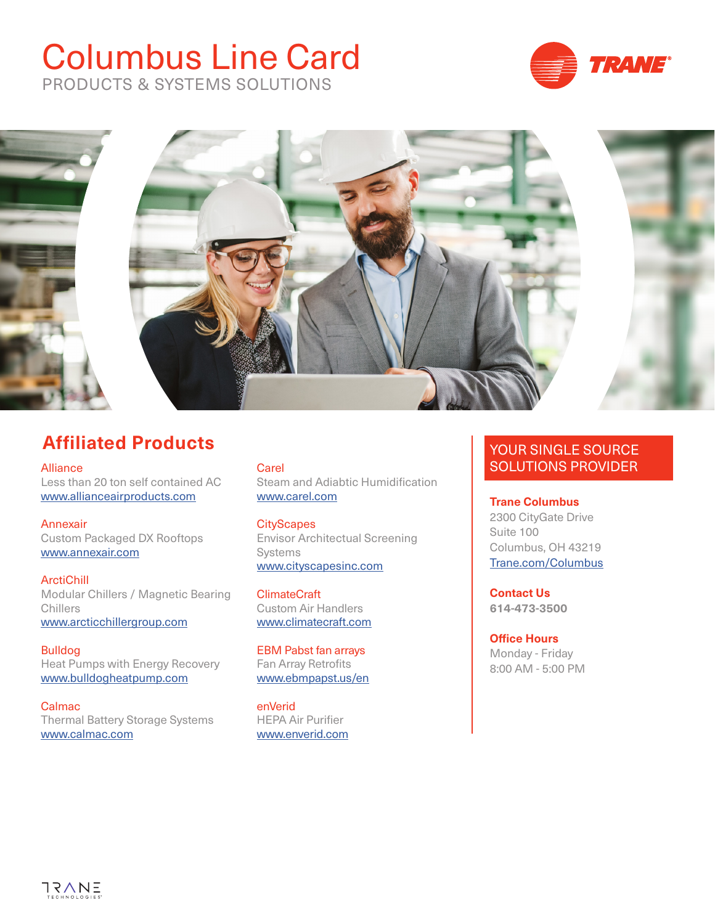# Columbus Line Card PRODUCTS & SYSTEMS SOLUTIONS





## **Affiliated Products**

Alliance Less than 20 ton self contained AC [www.allianceairproducts.com](http://www.allianceairproducts.com/)

Annexair Custom Packaged DX Rooftops [www.annexair.com](http://www.annexair.com/)

**ArctiChill** Modular Chillers / Magnetic Bearing Chillers [www.arcticchillergroup.com](https://www.arcticchillergroup.com/)

Bulldog Heat Pumps with Energy Recovery [www.bulldogheatpump.com](https://bulldogheatpump.com/)

Calmac Thermal Battery Storage Systems [www.calmac.com](http://www.calmac.com/)

**Carel** Steam and Adiabtic Humidification [www.carel.com](https://www.carel.com/)

**CityScapes** Envisor Architectual Screening Systems [www.cityscapesinc.com](https://cityscapesinc.com/)

**ClimateCraft** Custom Air Handlers [www.climatecraft.com](https://www.climatecraft.com/)

EBM Pabst fan arrays Fan Array Retrofits [www.ebmpapst.us/en](https://www.ebmpapst.us/en/)

enVerid HEPA Air Purifier www.enverid.com

### YOUR SINGLE SOURCE SOLUTIONS PROVIDER

**Trane Columbus** 2300 CityGate Drive Suite 100 Columbus, OH 43219 [Trane.com/Columbus](https://www.trane.com/commercial/north-america/us/en/contact-us/locate-sales-offices/columbus.html)

**Contact Us 614-473-3500**

**Office Hours** Monday - Friday 8:00 AM - 5:00 PM